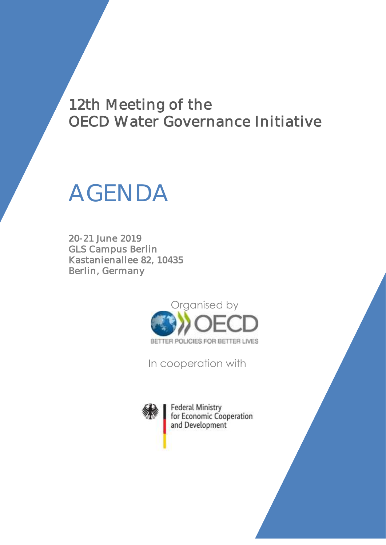## 12th Meeting of the OECD Water Governance Initiative

# AGENDA

20-21 June 2019 GLS Campus Berlin Kastanienallee 82, 10435 Berlin, Germany



In cooperation with



**Federal Ministry** for Economic Cooperation and Development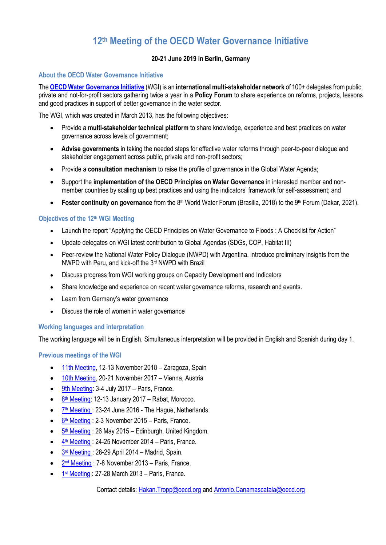### **12 th Meeting of the OECD Water Governance Initiative**

#### **20-21 June 2019 in Berlin, Germany**

#### **About the OECD Water Governance Initiative**

The **[OECD Water Governance Initiative](http://www.oecd.org/gov/regional-policy/OECD-WGI-Brochure.pdf)** (WGI) is an **international multi-stakeholder network** of 100+ delegates from public, private and not-for-profit sectors gathering twice a year in a **Policy Forum** to share experience on reforms, projects, lessons and good practices in support of better governance in the water sector.

The WGI, which was created in March 2013, has the following objectives:

- Provide a **multi-stakeholder technical platform** to share knowledge, experience and best practices on water governance across levels of government;
- **Advise governments** in taking the needed steps for effective water reforms through peer-to-peer dialogue and stakeholder engagement across public, private and non-profit sectors;
- Provide a **consultation mechanism** to raise the profile of governance in the Global Water Agenda;
- Support the **implementation of the OECD Principles on Water Governance** in interested member and nonmember countries by scaling up best practices and using the indicators' framework for self-assessment; and
- **Foster continuity on governance** from the 8<sup>th</sup> World Water Forum (Brasilia, 2018) to the 9<sup>th</sup> Forum (Dakar, 2021).

#### **Objectives of the 12 th WGI Meeting**

- Launch the report "Applying the OECD Principles on Water Governance to Floods : A Checklist for Action"
- Update delegates on WGI latest contribution to Global Agendas (SDGs, COP, Habitat III)
- Peer-review the National Water Policy Dialogue (NWPD) with Argentina, introduce preliminary insights from the NWPD with Peru, and kick-off the 3rd NWPD with Brazil
- Discuss progress from WGI working groups on Capacity Development and Indicators
- Share knowledge and experience on recent water governance reforms, research and events.
- Learn from Germany's water governance
- Discuss the role of women in water governance

#### **Working languages and interpretation**

The working language will be in English. Simultaneous interpretation will be provided in English and Spanish during day 1.

**Previous meetings of the WGI** 

- [11th Meeting,](http://www.oecd.org/regional/regional-policy/11th-meeting-of-the-oecd-water-governance-initiative.htm) 12-13 November 2018 Zaragoza, Spain
- [10th Meeting,](http://www.oecd.org/regional/regional-policy/10th-meeting-of-the-oecd-water-governance-initiative.htm) 20-21 November 2017 Vienna, Austria
- [9th Meeting:](http://www.oecd.org/cfe/regional-policy/9thmeetingoftheoecdwatergovernanceinitiative.htm) 3-4 July 2017 Paris, France.
- 8<sup>th</sup> [Meeting:](http://www.oecd.org/gov/regional-policy/8thmeetingoftheoecdwatergovernanceinitiative.htm) 12-13 January 2017 Rabat, Morocco.
- 7<sup>th</sup> [Meeting](http://www.oecd.org/gov/regional-policy/water-governance-initiative-meeting-7.htm): 23-24 June 2016 The Hague, Netherlands.
- 6<sup>th</sup> [Meeting](http://www.oecd.org/gov/regional-policy/water-governance-initiative-meeting-6.htm) : 2-3 November 2015 Paris, France.
- 5<sup>th</sup> [Meeting](http://www.oecd.org/gov/regional-policy/water-governance-initiative-meeting-5.htm): 26 May 2015 Edinburgh, United Kingdom.
- $\frac{4^{\text{th}} \text{ Meeting}}{4^{\text{th}} \text{ Meeting}}$  $\frac{4^{\text{th}} \text{ Meeting}}{4^{\text{th}} \text{ Meeting}}$  $\frac{4^{\text{th}} \text{ Meeting}}{4^{\text{th}} \text{ Meeting}}$ : 24-25 November 2014 Paris, France.
- $\frac{3^{rd} \text{ Meeting}}{28-29}$  $\frac{3^{rd} \text{ Meeting}}{28-29}$  $\frac{3^{rd} \text{ Meeting}}{28-29}$  April 2014 Madrid, Spain.
- 2<sup>nd</sup> [Meeting](http://www.oecd.org/governance/regional-policy/water-governance-initiative-meeting-2.htm): 7-8 November 2013 Paris, France.
- $\bullet$  1<sup>st</sup> [Meeting](http://www.oecd.org/gov/regional-policy/water-governance-initiative-meeting-1.htm) : 27-28 March 2013 Paris, France.

Contact details: [Hakan.Tropp@oecd.org](mailto:Hakan.Tropp@oecd.org) and [Antonio.Canamascatala@oecd.org](mailto:Antonio.Canamascatala@oecd.org)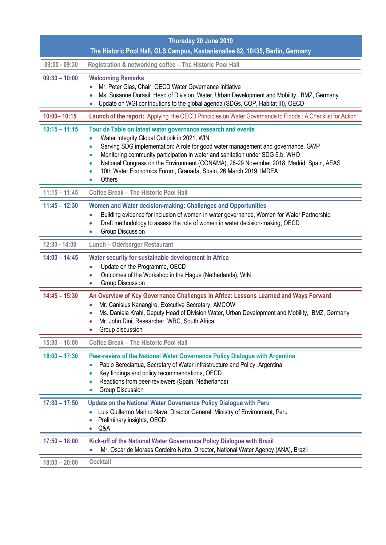|                 | Thursday 20 June 2019                                                                                                                                                                                                                                                                                                                                                                                                                                                                            |
|-----------------|--------------------------------------------------------------------------------------------------------------------------------------------------------------------------------------------------------------------------------------------------------------------------------------------------------------------------------------------------------------------------------------------------------------------------------------------------------------------------------------------------|
|                 | The Historic Pool Hall, GLS Campus, Kastanienallee 82, 10435, Berlin, Germany                                                                                                                                                                                                                                                                                                                                                                                                                    |
| $09:00 - 09:30$ | Registration & networking coffee - The Historic Pool Hall                                                                                                                                                                                                                                                                                                                                                                                                                                        |
| $09:30 - 10:00$ | <b>Welcoming Remarks</b><br>Mr. Peter Glas, Chair, OECD Water Governance Initiative<br>Ms. Susanne Dorasil, Head of Division, Water, Urban Development and Mobility, BMZ, Germany<br>Update on WGI contributions to the global agenda (SDGs, COP, Habitat III), OECD                                                                                                                                                                                                                             |
| $10:00 - 10:15$ | Launch of the report: "Applying the OECD Principles on Water Governance to Floods: A Checklist for Action"                                                                                                                                                                                                                                                                                                                                                                                       |
| $10:15 - 11:15$ | Tour de Table on latest water governance research and events<br>Water Integrity Global Outlook in 2021, WIN<br>Serving SDG implementation: A role for good water management and governance, GWP<br>$\bullet$<br>Monitoring community participation in water and sanitation under SDG 6.b, WHO<br>$\bullet$<br>National Congress on the Environment (CONAMA), 26-29 November 2018, Madrid, Spain, AEAS<br>$\bullet$<br>10th Water Economics Forum, Granada, Spain, 26 March 2019, IMDEA<br>Others |
| $11:15 - 11:45$ | <b>Coffee Break - The Historic Pool Hall</b>                                                                                                                                                                                                                                                                                                                                                                                                                                                     |
| $11:45 - 12:30$ | Women and Water decision-making: Challenges and Opportunities<br>Building evidence for inclusion of women in water governance, Women for Water Partnership<br>Draft methodology to assess the role of women in water decision-making, OECD<br>$\bullet$<br><b>Group Discussion</b><br>$\bullet$                                                                                                                                                                                                  |
| $12:30 - 14:00$ | <b>Lunch - Oderberger Restaurant</b>                                                                                                                                                                                                                                                                                                                                                                                                                                                             |
| $14:00 - 14:45$ | Water security for sustainable development in Africa<br>Update on the Programme, OECD<br>$\bullet$<br>Outcomes of the Workshop in the Hague (Netherlands), WIN<br>0<br>Group Discussion<br>$\bullet$                                                                                                                                                                                                                                                                                             |
| $14:45 - 15:30$ | An Overview of Key Governance Challenges in Africa: Lessons Learned and Ways Forward<br>Mr. Canisius Kanangire, Executive Secretary, AMCOW<br>Ms. Daniela Krahl, Deputy Head of Division Water, Urban Development and Mobility, BMZ, Germany<br>Mr. John Dini, Researcher, WRC, South Africa<br>Group discussion                                                                                                                                                                                 |
| $15:30 - 16:00$ | <b>Coffee Break - The Historic Pool Hall</b>                                                                                                                                                                                                                                                                                                                                                                                                                                                     |
| $16:00 - 17:30$ | Peer-review of the National Water Governance Policy Dialogue with Argentina<br>Pablo Bereciartua, Secretary of Water Infrastructure and Policy, Argentina<br>Key findings and policy recommendations, OECD<br>Reactions from peer-reviewers (Spain, Netherlands)<br>Group Discussion                                                                                                                                                                                                             |
| $17:30 - 17:50$ | Update on the National Water Governance Policy Dialogue with Peru<br>Luis Guillermo Marino Nava, Director General, Ministry of Environment, Peru<br>Preliminary insights, OECD<br>Q&A                                                                                                                                                                                                                                                                                                            |
| $17:50 - 18:00$ | Kick-off of the National Water Governance Policy Dialogue with Brazil<br>Mr. Oscar de Moraes Cordeiro Netto, Director, National Water Agency (ANA), Brazil<br>$\bullet$                                                                                                                                                                                                                                                                                                                          |
| $18:00 - 20:00$ | Cocktail                                                                                                                                                                                                                                                                                                                                                                                                                                                                                         |